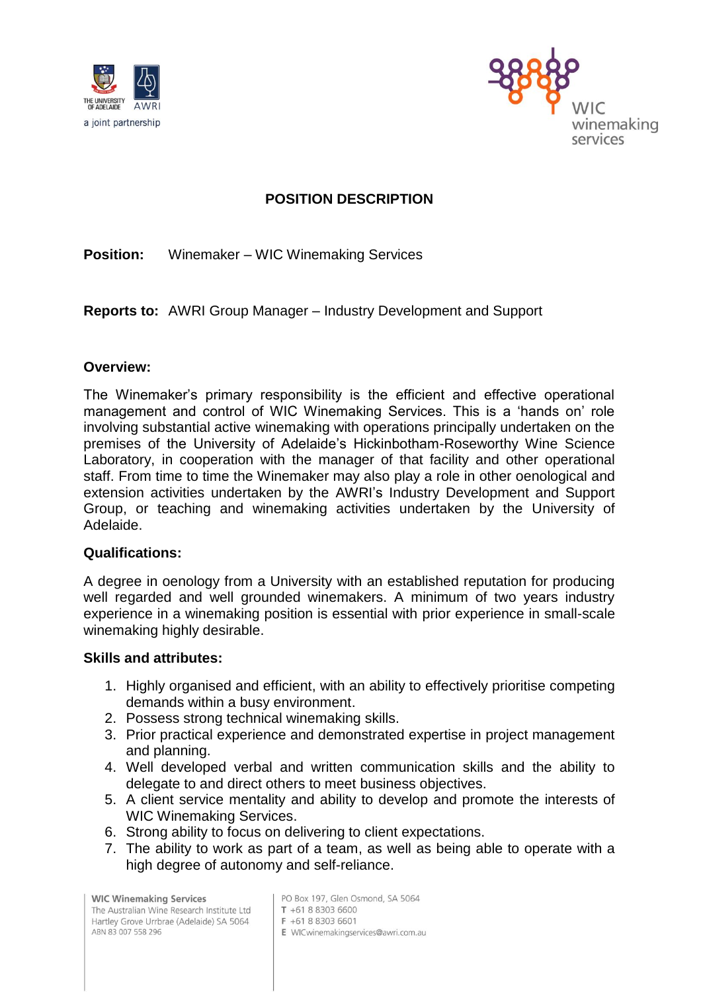



# **POSITION DESCRIPTION**

**Position:** Winemaker – WIC Winemaking Services

**Reports to:** AWRI Group Manager – Industry Development and Support

## **Overview:**

The Winemaker's primary responsibility is the efficient and effective operational management and control of WIC Winemaking Services. This is a 'hands on' role involving substantial active winemaking with operations principally undertaken on the premises of the University of Adelaide's Hickinbotham-Roseworthy Wine Science Laboratory, in cooperation with the manager of that facility and other operational staff. From time to time the Winemaker may also play a role in other oenological and extension activities undertaken by the AWRI's Industry Development and Support Group, or teaching and winemaking activities undertaken by the University of Adelaide.

## **Qualifications:**

A degree in oenology from a University with an established reputation for producing well regarded and well grounded winemakers. A minimum of two years industry experience in a winemaking position is essential with prior experience in small-scale winemaking highly desirable.

## **Skills and attributes:**

- 1. Highly organised and efficient, with an ability to effectively prioritise competing demands within a busy environment.
- 2. Possess strong technical winemaking skills.
- 3. Prior practical experience and demonstrated expertise in project management and planning.
- 4. Well developed verbal and written communication skills and the ability to delegate to and direct others to meet business objectives.
- 5. A client service mentality and ability to develop and promote the interests of WIC Winemaking Services.
- 6. Strong ability to focus on delivering to client expectations.
- 7. The ability to work as part of a team, as well as being able to operate with a high degree of autonomy and self-reliance.

**WIC Winemaking Services** The Australian Wine Research Institute Ltd Hartley Grove Urrbrae (Adelaide) SA 5064 ABN 83 007 558 296

PO Box 197, Glen Osmond, SA 5064 T +61 8 8303 6600

- F +61 8 8303 6601
- E WICwinemakingservices@awri.com.au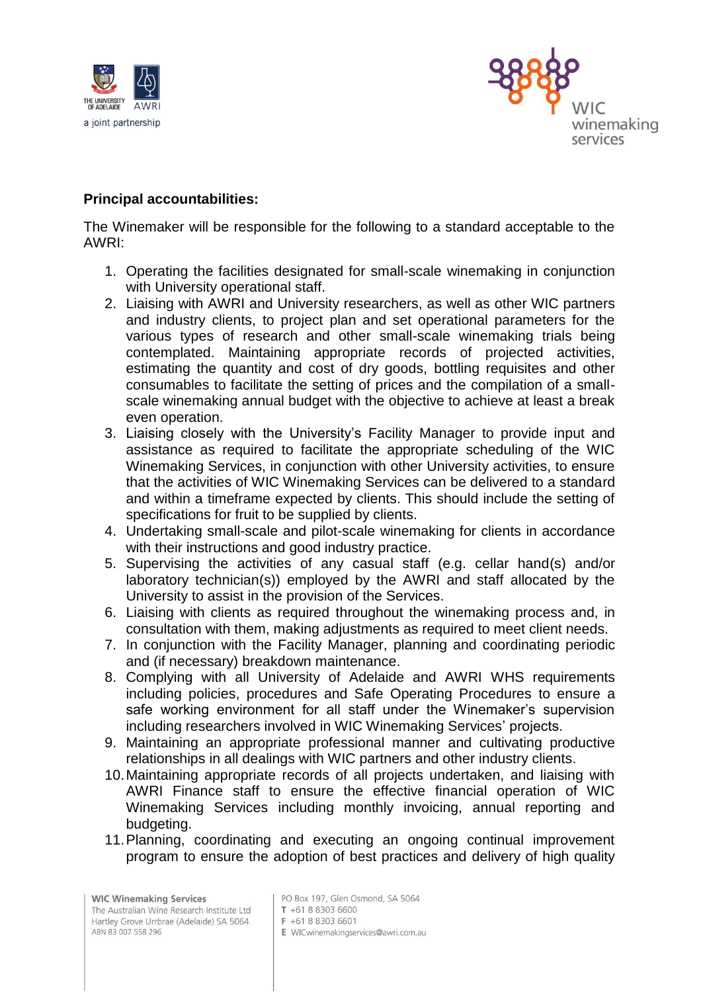



# **Principal accountabilities:**

The Winemaker will be responsible for the following to a standard acceptable to the AWRI:

- 1. Operating the facilities designated for small-scale winemaking in conjunction with University operational staff.
- 2. Liaising with AWRI and University researchers, as well as other WIC partners and industry clients, to project plan and set operational parameters for the various types of research and other small-scale winemaking trials being contemplated. Maintaining appropriate records of projected activities, estimating the quantity and cost of dry goods, bottling requisites and other consumables to facilitate the setting of prices and the compilation of a smallscale winemaking annual budget with the objective to achieve at least a break even operation.
- 3. Liaising closely with the University's Facility Manager to provide input and assistance as required to facilitate the appropriate scheduling of the WIC Winemaking Services, in conjunction with other University activities, to ensure that the activities of WIC Winemaking Services can be delivered to a standard and within a timeframe expected by clients. This should include the setting of specifications for fruit to be supplied by clients.
- 4. Undertaking small-scale and pilot-scale winemaking for clients in accordance with their instructions and good industry practice.
- 5. Supervising the activities of any casual staff (e.g. cellar hand(s) and/or laboratory technician(s)) employed by the AWRI and staff allocated by the University to assist in the provision of the Services.
- 6. Liaising with clients as required throughout the winemaking process and, in consultation with them, making adjustments as required to meet client needs.
- 7. In conjunction with the Facility Manager, planning and coordinating periodic and (if necessary) breakdown maintenance.
- 8. Complying with all University of Adelaide and AWRI WHS requirements including policies, procedures and Safe Operating Procedures to ensure a safe working environment for all staff under the Winemaker's supervision including researchers involved in WIC Winemaking Services' projects.
- 9. Maintaining an appropriate professional manner and cultivating productive relationships in all dealings with WIC partners and other industry clients.
- 10.Maintaining appropriate records of all projects undertaken, and liaising with AWRI Finance staff to ensure the effective financial operation of WIC Winemaking Services including monthly invoicing, annual reporting and budgeting.
- 11.Planning, coordinating and executing an ongoing continual improvement program to ensure the adoption of best practices and delivery of high quality

**WIC Winemaking Services** The Australian Wine Research Institute Ltd Hartley Grove Urrbrae (Adelaide) SA 5064 ABN 83 007 558 296

PO Box 197, Glen Osmond, SA 5064

E WICwinemakingservices@awri.com.au

T +61 8 8303 6600

F +61 8 8303 6601